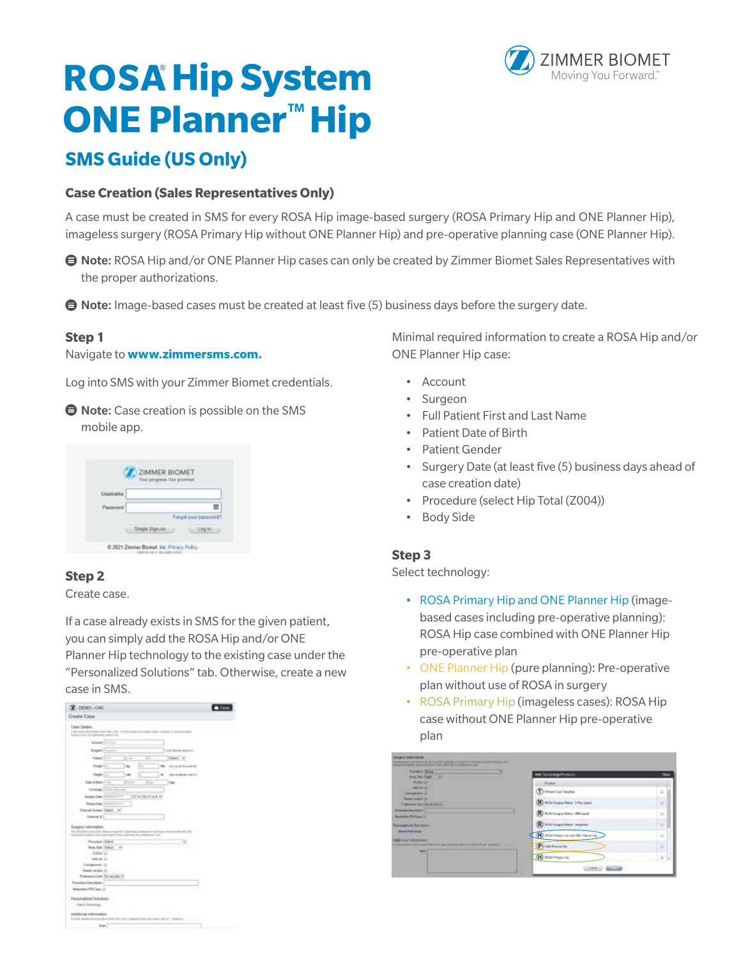# **ROSA Hip System ONE Planner**™ **Hip**

# **SMS Guide (US Only)**

#### **Case Creation (Sales Representatives Only)**

A case must be created in SMS for every ROSA Hip image-based surgery (ROSA Primary Hip and ONE Planner Hip), imageless surgery (ROSA Primary Hip without ONE Planner Hip) and pre-operative planning case (ONE Planner Hip).

- **Note:** ROSA Hip and/or ONE Planner Hip cases can only be created by Zimmer Biomet Sales Representatives with the proper authorizations.
- $\bigoplus$  Note: Image-based cases must be created at least five (5) business days before the surgery date.

#### **Step 1**

#### Navigate to **www.zimmersms.com.**

Log into SMS with your Zimmer Biomet credentials.

**■ Note:** Case creation is possible on the SMS mobile app.

| ZIMMER BIOMET<br>Tow progress Out pr |  |
|--------------------------------------|--|
|                                      |  |
|                                      |  |
| Forset your password                 |  |
| 1.14930                              |  |

#### **Step 2**

Create case.

If a case already exists in SMS for the given patient, you can simply add the ROSA Hip and/or ONE Planner Hip technology to the existing case under the "Personalized Solutions" tab. Otherwise, create a new case in SMS.



Minimal required information to create a ROSA Hip and/or ONE Planner Hip case:

- Account
- Surgeon
- Full Patient First and Last Name
- Patient Date of Birth
- Patient Gender
- Surgery Date (at least five (5) business days ahead of case creation date)
- Procedure (select Hip Total (Z004))
- **Body Side**

#### **Step 3**

Select technology:

- ROSA Primary Hip and ONE Planner Hip (imagebased cases including pre-operative planning): ROSA Hip case combined with ONE Planner Hip pre-operative plan
- ONE Planner Hip (pure planning): Pre-operative plan without use of ROSA in surgery
- ROSA Primary Hip (imageless cases): ROSA Hip case without ONE Planner Hip pre-operative plan

| <b>Possible Times</b><br><b>Big Society Card</b>                          | <b>MI InteregaTotule</b>       | $\sim$   |
|---------------------------------------------------------------------------|--------------------------------|----------|
| <b>Admitt</b><br>$-40.01$                                                 | <b>Blue Lines</b>              |          |
| Leapers 13                                                                | Distantian lease:              | ä,       |
| <b>Rental Advised</b><br><b>Common City C. Room and In-</b>               | <b>R</b> Hitchcocker (Helen)   | $\equiv$ |
| <b><i>ATMANT</i></b><br>da Filipi II                                      | R) mitchegia have altitude     | u.       |
| don't become                                                              | <b>Hilt-Laps Root improve</b>  | $\sim$   |
| <b>Board Schinlife</b>                                                    | HD ISLIA Present for each like | ٠        |
| <b>THE TRAFFICHER</b><br>In the Primaries statistical actions of "present | (P) increases                  | s        |
| <b>Septima</b>                                                            | (H) Histingama                 | s        |

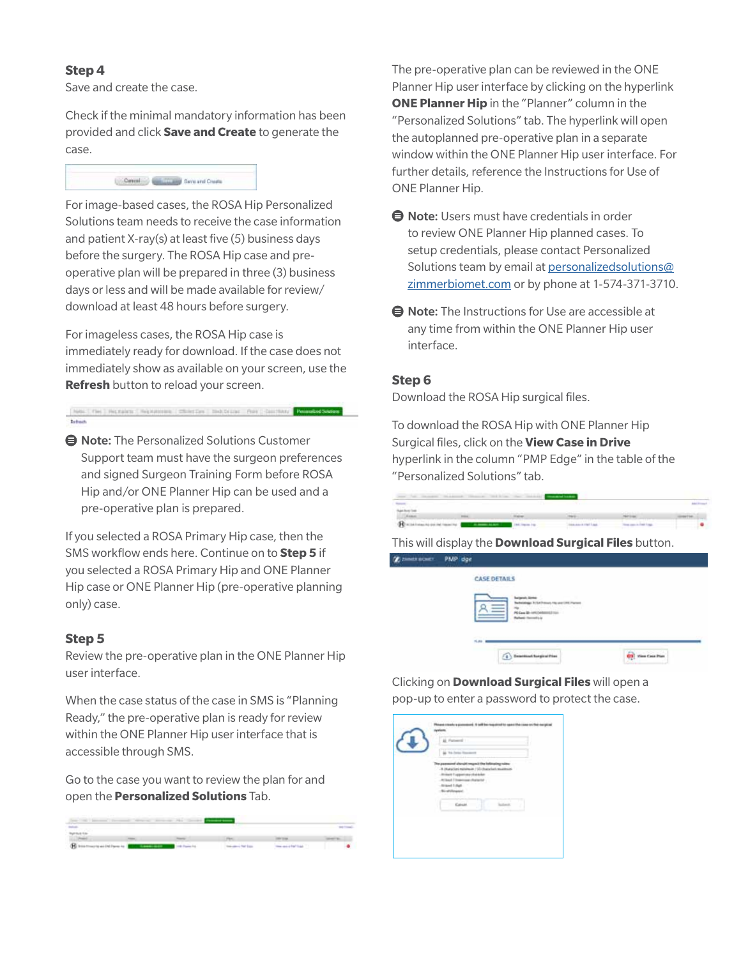#### **Step 4**

Save and create the case.

Check if the minimal mandatory information has been provided and click **Save and Create** to generate the case.



For image-based cases, the ROSA Hip Personalized Solutions team needs to receive the case information and patient X-ray(s) at least five (5) business days before the surgery. The ROSA Hip case and preoperative plan will be prepared in three (3) business days or less and will be made available for review/ download at least 48 hours before surgery.

For imageless cases, the ROSA Hip case is immediately ready for download. If the case does not immediately show as available on your screen, use the **Refresh** button to reload your screen.

New (Yes) Natalica (Natalical Chiesties | Indicial Print Counting | Reserved Decem

**● Note:** The Personalized Solutions Customer Support team must have the surgeon preferences and signed Surgeon Training Form before ROSA Hip and/or ONE Planner Hip can be used and a pre-operative plan is prepared.

If you selected a ROSA Primary Hip case, then the SMS workflow ends here. Continue on to **Step 5** if you selected a ROSA Primary Hip and ONE Planner Hip case or ONE Planner Hip (pre-operative planning only) case.

#### **Step 5**

Review the pre-operative plan in the ONE Planner Hip user interface.

When the case status of the case in SMS is "Planning Ready," the pre-operative plan is ready for review within the ONE Planner Hip user interface that is accessible through SMS.

Go to the case you want to review the plan for and open the **Personalized Solutions** Tab.

| for 10 levers from the control of the control of the control of the control of | the company's state of the company's state and the company's state of the company's state of the company's |  |  |
|--------------------------------------------------------------------------------|------------------------------------------------------------------------------------------------------------|--|--|
|                                                                                |                                                                                                            |  |  |
|                                                                                |                                                                                                            |  |  |
|                                                                                |                                                                                                            |  |  |
| <b>Bitmourneriten</b>                                                          | The companies are the                                                                                      |  |  |

The pre-operative plan can be reviewed in the ONE Planner Hip user interface by clicking on the hyperlink **ONE Planner Hip** in the "Planner" column in the "Personalized Solutions" tab. The hyperlink will open the autoplanned pre-operative plan in a separate window within the ONE Planner Hip user interface. For further details, reference the Instructions for Use of ONE Planner Hip.

- $\bigoplus$  **Note:** Users must have credentials in order to review ONE Planner Hip planned cases. To setup credentials, please contact Personalized Solutions team by email at personalizedsolutions@ zimmerbiomet.com or by phone at 1-574-371-3710.
- $\bigoplus$  **Note:** The Instructions for Use are accessible at any time from within the ONE Planner Hip user interface.

#### **Step 6**

Download the ROSA Hip surgical files.

To download the ROSA Hip with ONE Planner Hip Surgical files, click on the **View Case in Drive** hyperlink in the column "PMP Edge" in the table of the "Personalized Solutions" tab.

| per la mosa massa mona bilio de massa continua                                              |  |                                                                                                                                                                                                                                |  |
|---------------------------------------------------------------------------------------------|--|--------------------------------------------------------------------------------------------------------------------------------------------------------------------------------------------------------------------------------|--|
|                                                                                             |  |                                                                                                                                                                                                                                |  |
|                                                                                             |  |                                                                                                                                                                                                                                |  |
| All Assets Inc.                                                                             |  |                                                                                                                                                                                                                                |  |
| Character to provide the set of the control of the control of the control of the control of |  | the am a red line. The complete a fact that it was to be a fact that it was to be a fact that it was to be a fact that it was to be a fact that it was to be a fact that the state of the state of the state of the state of t |  |

This will display the **Download Surgical Files** button.



Clicking on **Download Surgical Files** will open a pop-up to enter a password to protect the case.

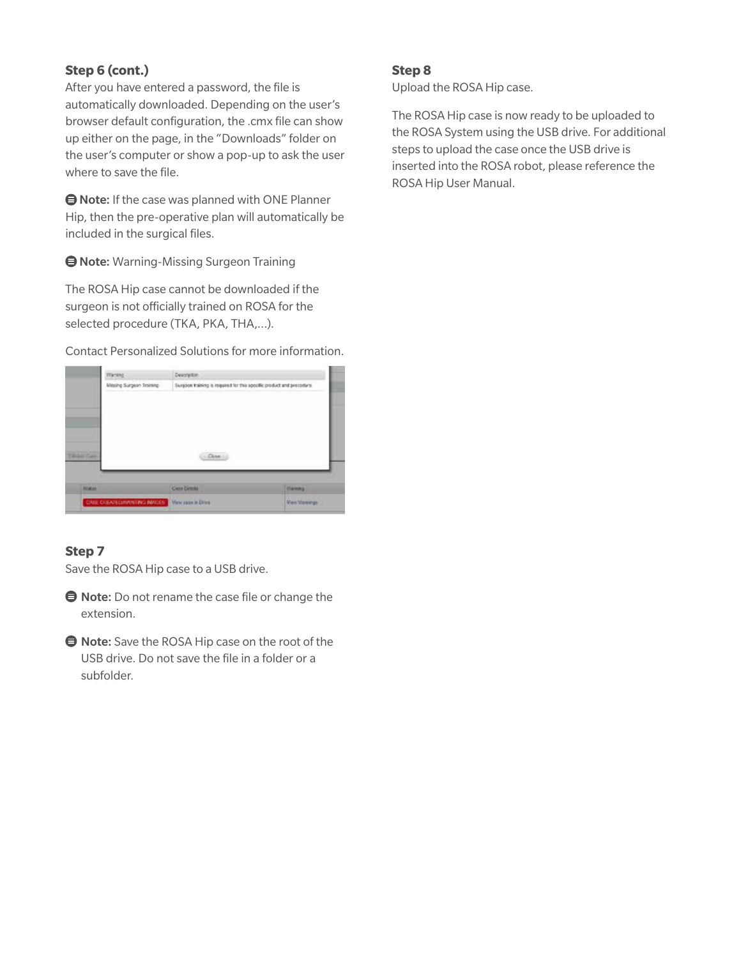### **Step 6 (cont.)**

After you have entered a password, the file is automatically downloaded. Depending on the user's browser default configuration, the .cmx file can show up either on the page, in the "Downloads" folder on the user's computer or show a pop-up to ask the user where to save the file.

 $\bigoplus$  Note: If the case was planned with ONE Planner Hip, then the pre-operative plan will automatically be included in the surgical files.

Note: Warning-Missing Surgeon Training

The ROSA Hip case cannot be downloaded if the surgeon is not officially trained on ROSA for the selected procedure (TKA, PKA, THA,…).

Contact Personalized Solutions for more information.



## **Step 7**

Save the ROSA Hip case to a USB drive.

- $\bigoplus$  Note: Do not rename the case file or change the extension.
- **Note:** Save the ROSA Hip case on the root of the USB drive. Do not save the file in a folder or a subfolder.

#### **Step 8**

Upload the ROSA Hip case.

The ROSA Hip case is now ready to be uploaded to the ROSA System using the USB drive. For additional steps to upload the case once the USB drive is inserted into the ROSA robot, please reference the ROSA Hip User Manual.